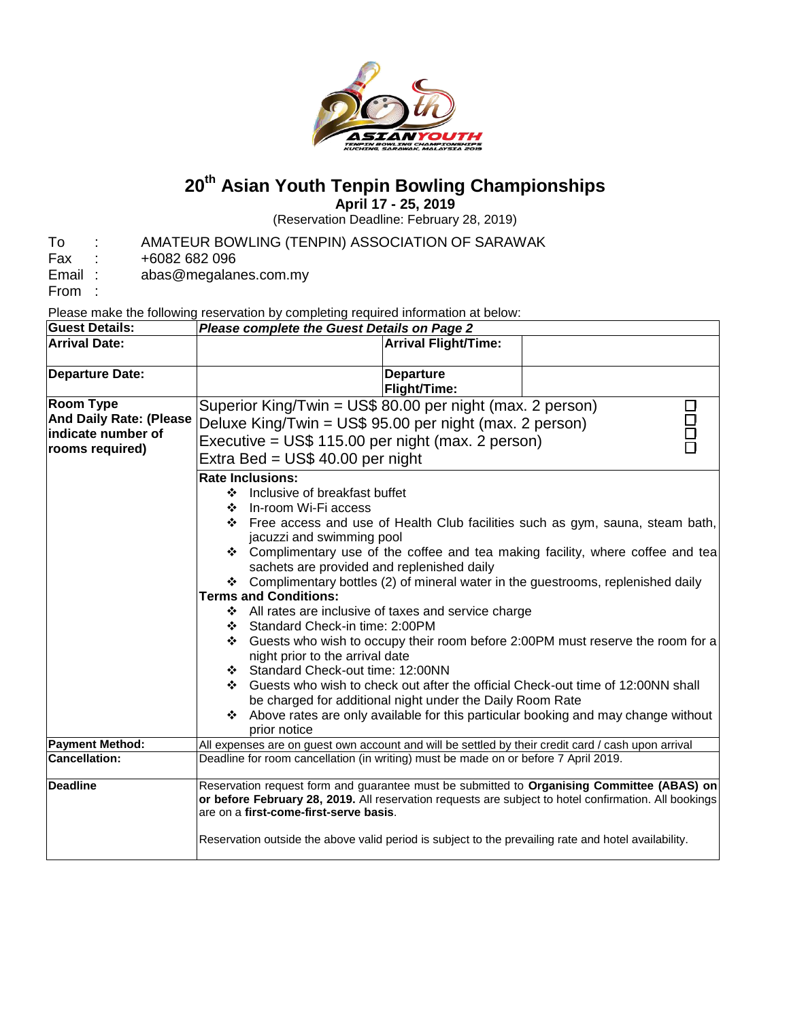

## **20th Asian Youth Tenpin Bowling Championships**

**April 17 - 25, 2019** 

(Reservation Deadline: February 28, 2019)

To : AMATEUR BOWLING (TENPIN) ASSOCIATION OF SARAWAK

Fax : +6082 682 096

Email : abas@megalanes.com.my

From :

Please make the following reservation by completing required information at below:

| <b>Guest Details:</b>                                                                       | Please complete the Guest Details on Page 2                                                                                                                                                                                                                                                                                                                                                                                                                                                                                                                                                                                                                                                                                                                                                                                                                                                                                                                                                                                                                                         |  |                                  |  |  |  |
|---------------------------------------------------------------------------------------------|-------------------------------------------------------------------------------------------------------------------------------------------------------------------------------------------------------------------------------------------------------------------------------------------------------------------------------------------------------------------------------------------------------------------------------------------------------------------------------------------------------------------------------------------------------------------------------------------------------------------------------------------------------------------------------------------------------------------------------------------------------------------------------------------------------------------------------------------------------------------------------------------------------------------------------------------------------------------------------------------------------------------------------------------------------------------------------------|--|----------------------------------|--|--|--|
| <b>Arrival Date:</b>                                                                        |                                                                                                                                                                                                                                                                                                                                                                                                                                                                                                                                                                                                                                                                                                                                                                                                                                                                                                                                                                                                                                                                                     |  | <b>Arrival Flight/Time:</b>      |  |  |  |
| Departure Date:                                                                             |                                                                                                                                                                                                                                                                                                                                                                                                                                                                                                                                                                                                                                                                                                                                                                                                                                                                                                                                                                                                                                                                                     |  | <b>Departure</b><br>Flight/Time: |  |  |  |
| <b>Room Type</b><br><b>And Daily Rate: (Please</b><br>indicate number of<br>rooms required) | Superior King/Twin = US\$ 80.00 per night (max. 2 person)<br>Deluxe King/Twin = US\$ 95.00 per night (max. 2 person)<br>Executive = $US$ 115.00$ per night (max. 2 person)<br>Extra Bed = $US$$ 40.00 per night<br><b>Rate Inclusions:</b><br>❖ Inclusive of breakfast buffet<br>❖ In-room Wi-Fi access<br>❖ Free access and use of Health Club facilities such as gym, sauna, steam bath,<br>jacuzzi and swimming pool<br>* Complimentary use of the coffee and tea making facility, where coffee and tea<br>sachets are provided and replenished daily<br>❖ Complimentary bottles (2) of mineral water in the guestrooms, replenished daily<br><b>Terms and Conditions:</b><br>All rates are inclusive of taxes and service charge<br>Standard Check-in time: 2:00PM<br>❖ Guests who wish to occupy their room before 2:00PM must reserve the room for a<br>night prior to the arrival date<br>Standard Check-out time: 12:00NN<br>❖ Guests who wish to check out after the official Check-out time of 12:00NN shall<br>be charged for additional night under the Daily Room Rate |  |                                  |  |  |  |
|                                                                                             | Above rates are only available for this particular booking and may change without<br>prior notice                                                                                                                                                                                                                                                                                                                                                                                                                                                                                                                                                                                                                                                                                                                                                                                                                                                                                                                                                                                   |  |                                  |  |  |  |
| <b>Payment Method:</b><br><b>Cancellation:</b>                                              | All expenses are on guest own account and will be settled by their credit card / cash upon arrival<br>Deadline for room cancellation (in writing) must be made on or before 7 April 2019.                                                                                                                                                                                                                                                                                                                                                                                                                                                                                                                                                                                                                                                                                                                                                                                                                                                                                           |  |                                  |  |  |  |
| <b>Deadline</b>                                                                             | Reservation request form and guarantee must be submitted to Organising Committee (ABAS) on<br>or before February 28, 2019. All reservation requests are subject to hotel confirmation. All bookings<br>are on a first-come-first-serve basis.                                                                                                                                                                                                                                                                                                                                                                                                                                                                                                                                                                                                                                                                                                                                                                                                                                       |  |                                  |  |  |  |
|                                                                                             | Reservation outside the above valid period is subject to the prevailing rate and hotel availability.                                                                                                                                                                                                                                                                                                                                                                                                                                                                                                                                                                                                                                                                                                                                                                                                                                                                                                                                                                                |  |                                  |  |  |  |
|                                                                                             |                                                                                                                                                                                                                                                                                                                                                                                                                                                                                                                                                                                                                                                                                                                                                                                                                                                                                                                                                                                                                                                                                     |  |                                  |  |  |  |